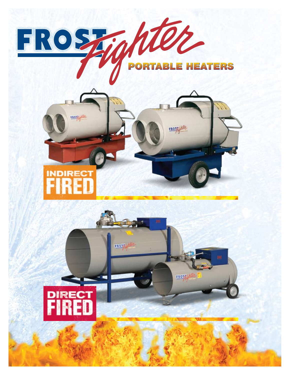